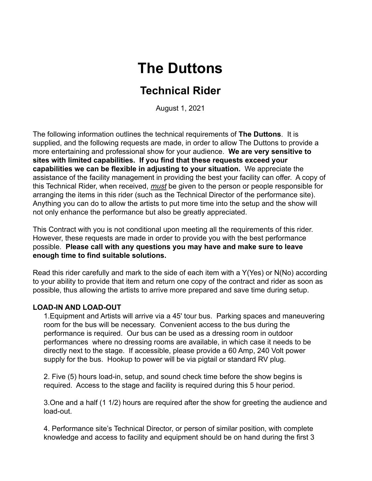# **The Duttons**

## **Technical Rider**

August 1, 2021

The following information outlines the technical requirements of **The Duttons**. It is supplied, and the following requests are made, in order to allow The Duttons to provide a more entertaining and professional show for your audience. **We are very sensitive to sites with limited capabilities. If you find that these requests exceed your capabilities we can be flexible in adjusting to your situation.** We appreciate the assistance of the facility management in providing the best your facility can offer. A copy of this Technical Rider, when received, *must* be given to the person or people responsible for arranging the items in this rider (such as the Technical Director of the performance site). Anything you can do to allow the artists to put more time into the setup and the show will not only enhance the performance but also be greatly appreciated.

This Contract with you is not conditional upon meeting all the requirements of this rider. However, these requests are made in order to provide you with the best performance possible. **Please call with any questions you may have and make sure to leave enough time to find suitable solutions.**

Read this rider carefully and mark to the side of each item with a Y(Yes) or N(No) according to your ability to provide that item and return one copy of the contract and rider as soon as possible, thus allowing the artists to arrive more prepared and save time during setup.

#### **LOAD-IN AND LOAD-OUT**

1.Equipment and Artists will arrive via a 45' tour bus. Parking spaces and maneuvering room for the bus will be necessary. Convenient access to the bus during the performance is required. Our bus can be used as a dressing room in outdoor performances where no dressing rooms are available, in which case it needs to be directly next to the stage. If accessible, please provide a 60 Amp, 240 Volt power supply for the bus. Hookup to power will be via pigtail or standard RV plug.

2. Five (5) hours load-in, setup, and sound check time before the show begins is required. Access to the stage and facility is required during this 5 hour period.

3.One and a half (1 1/2) hours are required after the show for greeting the audience and load-out.

4. Performance site's Technical Director, or person of similar position, with complete knowledge and access to facility and equipment should be on hand during the first 3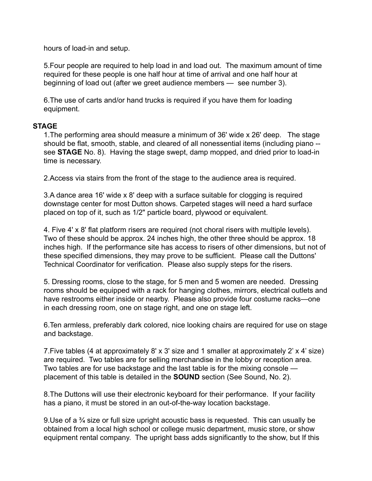hours of load-in and setup.

5.Four people are required to help load in and load out. The maximum amount of time required for these people is one half hour at time of arrival and one half hour at beginning of load out (after we greet audience members — see number 3).

6.The use of carts and/or hand trucks is required if you have them for loading equipment.

#### **STAGE**

1.The performing area should measure a minimum of 36' wide x 26' deep. The stage should be flat, smooth, stable, and cleared of all nonessential items (including piano - see **STAGE** No. 8). Having the stage swept, damp mopped, and dried prior to load-in time is necessary.

2.Access via stairs from the front of the stage to the audience area is required.

3.A dance area 16' wide x 8' deep with a surface suitable for clogging is required downstage center for most Dutton shows. Carpeted stages will need a hard surface placed on top of it, such as 1/2" particle board, plywood or equivalent.

4. Five 4' x 8' flat platform risers are required (not choral risers with multiple levels). Two of these should be approx. 24 inches high, the other three should be approx. 18 inches high. If the performance site has access to risers of other dimensions, but not of these specified dimensions, they may prove to be sufficient. Please call the Duttons' Technical Coordinator for verification. Please also supply steps for the risers.

5. Dressing rooms, close to the stage, for 5 men and 5 women are needed. Dressing rooms should be equipped with a rack for hanging clothes, mirrors, electrical outlets and have restrooms either inside or nearby. Please also provide four costume racks—one in each dressing room, one on stage right, and one on stage left.

6.Ten armless, preferably dark colored, nice looking chairs are required for use on stage and backstage.

7.Five tables (4 at approximately 8' x 3' size and 1 smaller at approximately 2' x 4' size) are required. Two tables are for selling merchandise in the lobby or reception area. Two tables are for use backstage and the last table is for the mixing console placement of this table is detailed in the **SOUND** section (See Sound, No. 2).

8.The Duttons will use their electronic keyboard for their performance. If your facility has a piano, it must be stored in an out-of-the-way location backstage.

9.Use of a ¾ size or full size upright acoustic bass is requested. This can usually be obtained from a local high school or college music department, music store, or show equipment rental company. The upright bass adds significantly to the show, but If this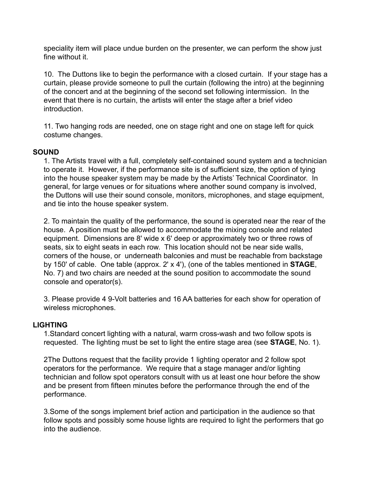speciality item will place undue burden on the presenter, we can perform the show just fine without it.

10. The Duttons like to begin the performance with a closed curtain. If your stage has a curtain, please provide someone to pull the curtain (following the intro) at the beginning of the concert and at the beginning of the second set following intermission. In the event that there is no curtain, the artists will enter the stage after a brief video introduction.

11. Two hanging rods are needed, one on stage right and one on stage left for quick costume changes.

#### **SOUND**

1. The Artists travel with a full, completely self-contained sound system and a technician to operate it. However, if the performance site is of sufficient size, the option of tying into the house speaker system may be made by the Artists' Technical Coordinator. In general, for large venues or for situations where another sound company is involved, the Duttons will use their sound console, monitors, microphones, and stage equipment, and tie into the house speaker system.

2. To maintain the quality of the performance, the sound is operated near the rear of the house. A position must be allowed to accommodate the mixing console and related equipment. Dimensions are 8' wide x 6' deep or approximately two or three rows of seats, six to eight seats in each row. This location should not be near side walls, corners of the house, or underneath balconies and must be reachable from backstage by 150' of cable. One table (approx. 2' x 4'), (one of the tables mentioned in **STAGE**, No. 7) and two chairs are needed at the sound position to accommodate the sound console and operator(s).

3. Please provide 4 9-Volt batteries and 16 AA batteries for each show for operation of wireless microphones.

### **LIGHTING**

1.Standard concert lighting with a natural, warm cross-wash and two follow spots is requested. The lighting must be set to light the entire stage area (see **STAGE**, No. 1).

2The Duttons request that the facility provide 1 lighting operator and 2 follow spot operators for the performance. We require that a stage manager and/or lighting technician and follow spot operators consult with us at least one hour before the show and be present from fifteen minutes before the performance through the end of the performance.

3.Some of the songs implement brief action and participation in the audience so that follow spots and possibly some house lights are required to light the performers that go into the audience.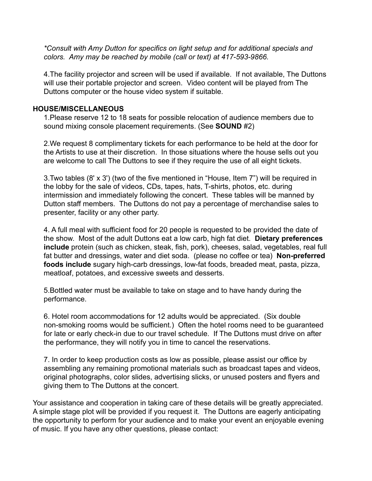*\*Consult with Amy Dutton for specifics on light setup and for additional specials and colors. Amy may be reached by mobile (call or text) at 417-593-9866.*

4.The facility projector and screen will be used if available. If not available, The Duttons will use their portable projector and screen. Video content will be played from The Duttons computer or the house video system if suitable.

#### **HOUSE/MISCELLANEOUS**

1.Please reserve 12 to 18 seats for possible relocation of audience members due to sound mixing console placement requirements. (See **SOUND** #2)

2.We request 8 complimentary tickets for each performance to be held at the door for the Artists to use at their discretion. In those situations where the house sells out you are welcome to call The Duttons to see if they require the use of all eight tickets.

3.Two tables (8' x 3') (two of the five mentioned in "House, Item 7") will be required in the lobby for the sale of videos, CDs, tapes, hats, T-shirts, photos, etc. during intermission and immediately following the concert. These tables will be manned by Dutton staff members. The Duttons do not pay a percentage of merchandise sales to presenter, facility or any other party.

4. A full meal with sufficient food for 20 people is requested to be provided the date of the show. Most of the adult Duttons eat a low carb, high fat diet. **Dietary preferences include** protein (such as chicken, steak, fish, pork), cheeses, salad, vegetables, real full fat butter and dressings, water and diet soda. (please no coffee or tea) **Non-preferred foods include** sugary high-carb dressings, low-fat foods, breaded meat, pasta, pizza, meatloaf, potatoes, and excessive sweets and desserts.

5.Bottled water must be available to take on stage and to have handy during the performance.

6. Hotel room accommodations for 12 adults would be appreciated. (Six double non-smoking rooms would be sufficient.) Often the hotel rooms need to be guaranteed for late or early check-in due to our travel schedule. If The Duttons must drive on after the performance, they will notify you in time to cancel the reservations.

7. In order to keep production costs as low as possible, please assist our office by assembling any remaining promotional materials such as broadcast tapes and videos, original photographs, color slides, advertising slicks, or unused posters and flyers and giving them to The Duttons at the concert.

Your assistance and cooperation in taking care of these details will be greatly appreciated. A simple stage plot will be provided if you request it. The Duttons are eagerly anticipating the opportunity to perform for your audience and to make your event an enjoyable evening of music. If you have any other questions, please contact: